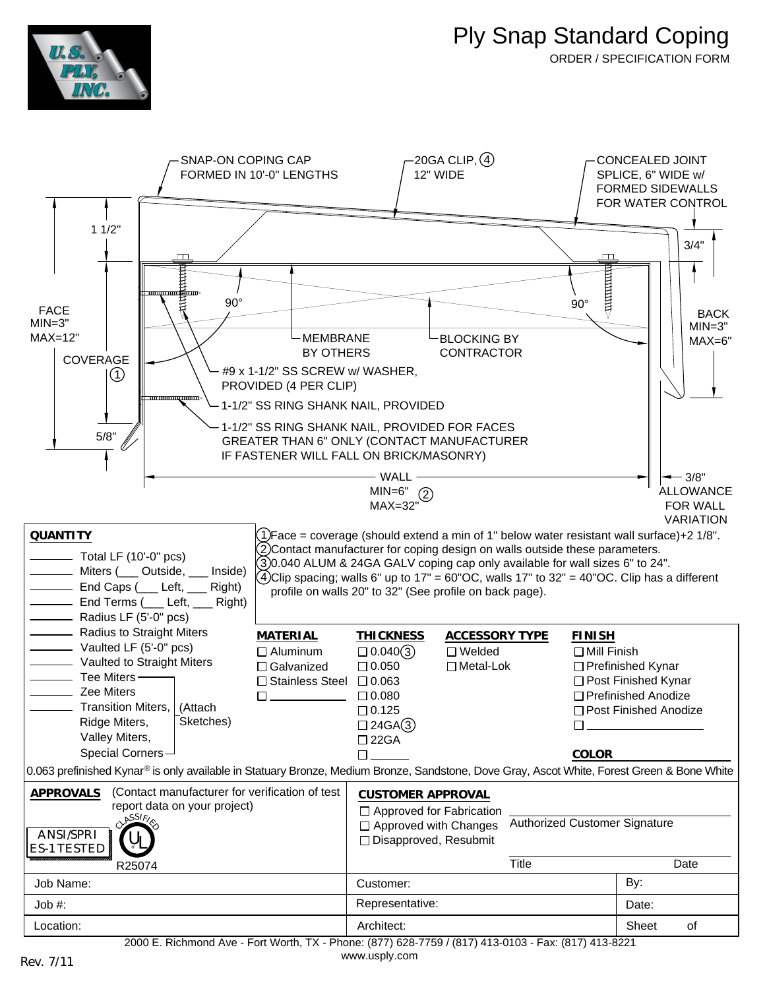

ORDER / SPECIFICATION FORM